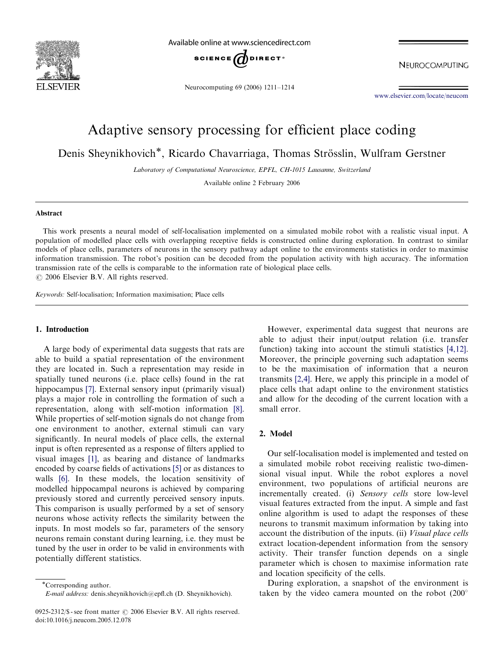

Available online at www.sciencedirect.com



Neurocomputing 69 (2006) 1211–1214

NEUROCOMPUTING

<www.elsevier.com/locate/neucom>

# Adaptive sensory processing for efficient place coding

Denis Sheynikhovich\*, Ricardo Chavarriaga, Thomas Strösslin, Wulfram Gerstner

Laboratory of Computational Neuroscience, EPFL, CH-1015 Lausanne, Switzerland

Available online 2 February 2006

#### Abstract

This work presents a neural model of self-localisation implemented on a simulated mobile robot with a realistic visual input. A population of modelled place cells with overlapping receptive fields is constructed online during exploration. In contrast to similar models of place cells, parameters of neurons in the sensory pathway adapt online to the environments statistics in order to maximise information transmission. The robot's position can be decoded from the population activity with high accuracy. The information transmission rate of the cells is comparable to the information rate of biological place cells.  $\odot$  2006 Elsevier B.V. All rights reserved.

Keywords: Self-localisation; Information maximisation; Place cells

# 1. Introduction

A large body of experimental data suggests that rats are able to build a spatial representation of the environment they are located in. Such a representation may reside in spatially tuned neurons (i.e. place cells) found in the rat hippocampus [\[7\]](#page-3-0). External sensory input (primarily visual) plays a major role in controlling the formation of such a representation, along with self-motion information [\[8\].](#page-3-0) While properties of self-motion signals do not change from one environment to another, external stimuli can vary significantly. In neural models of place cells, the external input is often represented as a response of filters applied to visual images [\[1\]](#page-2-0), as bearing and distance of landmarks encoded by coarse fields of activations [\[5\]](#page-3-0) or as distances to walls [\[6\]](#page-3-0). In these models, the location sensitivity of modelled hippocampal neurons is achieved by comparing previously stored and currently perceived sensory inputs. This comparison is usually performed by a set of sensory neurons whose activity reflects the similarity between the inputs. In most models so far, parameters of the sensory neurons remain constant during learning, i.e. they must be tuned by the user in order to be valid in environments with potentially different statistics.

However, experimental data suggest that neurons are able to adjust their input/output relation (i.e. transfer function) taking into account the stimuli statistics [\[4,12\].](#page-3-0) Moreover, the principle governing such adaptation seems to be the maximisation of information that a neuron transmits [\[2,4\]](#page-3-0). Here, we apply this principle in a model of place cells that adapt online to the environment statistics and allow for the decoding of the current location with a small error.

# 2. Model

Our self-localisation model is implemented and tested on a simulated mobile robot receiving realistic two-dimensional visual input. While the robot explores a novel environment, two populations of artificial neurons are incrementally created. (i) Sensory cells store low-level visual features extracted from the input. A simple and fast online algorithm is used to adapt the responses of these neurons to transmit maximum information by taking into account the distribution of the inputs. (ii) Visual place cells extract location-dependent information from the sensory activity. Their transfer function depends on a single parameter which is chosen to maximise information rate and location specificity of the cells.

During exploration, a snapshot of the environment is taken by the video camera mounted on the robot (200

Corresponding author. E-mail address: denis.sheynikhovich@epfl.ch (D. Sheynikhovich).

<sup>0925-2312/\$ -</sup> see front matter  $\odot$  2006 Elsevier B.V. All rights reserved. doi:10.1016/j.neucom.2005.12.078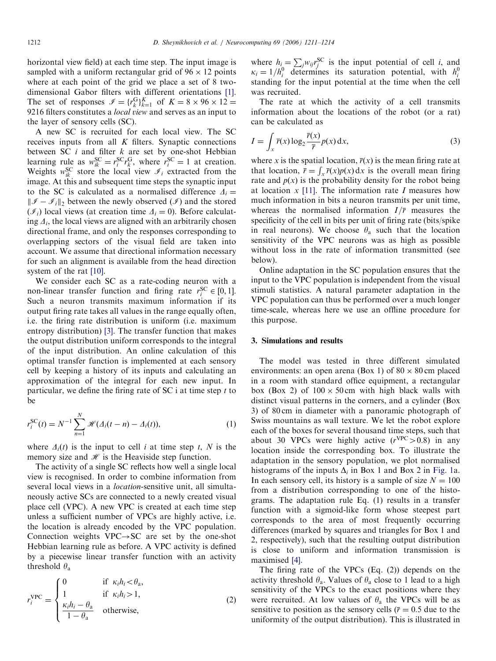horizontal view field) at each time step. The input image is sampled with a uniform rectangular grid of  $96 \times 12$  points where at each point of the grid we place a set of 8 twodimensional Gabor filters with different orientations [\[1\]](#page-2-0). The set of responses  $\mathcal{I} = \{r_k^G\}_{k=1}^K$  of  $K = 8 \times 96 \times 12 =$ 9216 filters constitutes a local view and serves as an input to the layer of sensory cells (SC).

A new SC is recruited for each local view. The SC receives inputs from all  $K$  filters. Synaptic connections between SC  $i$  and filter  $k$  are set by one-shot Hebbian learning rule as  $w_{ik}^{SC} = r_i^{SC} r_k^{G}$ , where  $r_i^{SC} = 1$  at creation. Weights  $w_{ik}^{SC}$  store the local view  $\mathcal{I}_i$  extracted from the image. At this and subsequent time steps the synaptic input to the SC is calculated as a normalised difference  $\Delta_i =$  $\|\mathcal{I} - \mathcal{I}_i\|_2$  between the newly observed  $(\mathcal{I})$  and the stored  $(\mathcal{I}_i)$  local views (at creation time  $\Delta_i = 0$ ). Before calculating  $\Delta_i$ , the local views are aligned with an arbitrarily chosen directional frame, and only the responses corresponding to overlapping sectors of the visual field are taken into account. We assume that directional information necessary for such an alignment is available from the head direction system of the rat [\[10\]](#page-3-0).

We consider each SC as a rate-coding neuron with a non-linear transfer function and firing rate  $r_i^{SC} \in [0, 1]$ . Such a neuron transmits maximum information if its output firing rate takes all values in the range equally often, i.e. the firing rate distribution is uniform (i.e. maximum entropy distribution) [\[3\].](#page-3-0) The transfer function that makes the output distribution uniform corresponds to the integral of the input distribution. An online calculation of this optimal transfer function is implemented at each sensory cell by keeping a history of its inputs and calculating an approximation of the integral for each new input. In particular, we define the firing rate of SC i at time step  $t$  to be

$$
r_i^{SC}(t) = N^{-1} \sum_{n=1}^{N} \mathcal{H}(\Delta_i(t - n) - \Delta_i(t)),
$$
\n(1)

where  $\Delta_i(t)$  is the input to cell i at time step t, N is the memory size and  $\mathcal{H}$  is the Heaviside step function.

The activity of a single SC reflects how well a single local view is recognised. In order to combine information from several local views in a *location*-sensitive unit, all simultaneously active SCs are connected to a newly created visual place cell (VPC). A new VPC is created at each time step unless a sufficient number of VPCs are highly active, i.e. the location is already encoded by the VPC population. Connection weights  $VPC \rightarrow SC$  are set by the one-shot Hebbian learning rule as before. A VPC activity is defined by a piecewise linear transfer function with an activity threshold  $\theta_a$ 

$$
r_i^{\text{VPC}} = \begin{cases} 0 & \text{if } \kappa_i h_i < \theta_a, \\ 1 & \text{if } \kappa_i h_i > 1, \\ \frac{\kappa_i h_i - \theta_a}{1 - \theta_a} & \text{otherwise,} \end{cases}
$$
 (2)

where  $h_i = \sum_j w_{ij} r_j^{SC}$  is the input potential of cell *i*, and  $\kappa_i = 1/h_i^0$  determines its saturation potential, with  $h_i^0$ standing for the input potential at the time when the cell was recruited.

The rate at which the activity of a cell transmits information about the locations of the robot (or a rat) can be calculated as

$$
I = \int_{x} \overline{r}(x) \log_2 \frac{\overline{r}(x)}{\overline{r}} p(x) dx,
$$
\n(3)

where x is the spatial location,  $\overline{r}(x)$  is the mean firing rate at that location,  $\overline{r} = \int_x \overline{r}(x)p(x) dx$  is the overall mean firing rate and  $p(x)$  is the probability density for the robot being at location  $x$  [\[11\].](#page-3-0) The information rate I measures how much information in bits a neuron transmits per unit time, whereas the normalised information  $I/\overline{r}$  measures the specificity of the cell in bits per unit of firing rate (bits/spike in real neurons). We choose  $\theta_a$  such that the location sensitivity of the VPC neurons was as high as possible without loss in the rate of information transmitted (see below).

Online adaptation in the SC population ensures that the input to the VPC population is independent from the visual stimuli statistics. A natural parameter adaptation in the VPC population can thus be performed over a much longer time-scale, whereas here we use an offline procedure for this purpose.

## 3. Simulations and results

The model was tested in three different simulated environments: an open arena (Box 1) of  $80 \times 80$  cm placed in a room with standard office equipment, a rectangular box (Box 2) of  $100 \times 50$  cm with high black walls with distinct visual patterns in the corners, and a cylinder (Box 3) of 80 cm in diameter with a panoramic photograph of Swiss mountains as wall texture. We let the robot explore each of the boxes for several thousand time steps, such that about 30 VPCs were highly active  $(r^{VPC} > 0.8)$  in any location inside the corresponding box. To illustrate the adaptation in the sensory population, we plot normalised histograms of the inputs  $\Delta_i$  in Box 1 and Box 2 in [Fig. 1](#page-2-0)a. In each sensory cell, its history is a sample of size  $N = 100$ from a distribution corresponding to one of the histograms. The adaptation rule Eq. (1) results in a transfer function with a sigmoid-like form whose steepest part corresponds to the area of most frequently occurring differences (marked by squares and triangles for Box 1 and 2, respectively), such that the resulting output distribution is close to uniform and information transmission is maximised [\[4\].](#page-3-0)

The firing rate of the VPCs (Eq. (2)) depends on the activity threshold  $\theta_a$ . Values of  $\theta_a$  close to 1 lead to a high sensitivity of the VPCs to the exact positions where they were recruited. At low values of  $\theta_a$  the VPCs will be as sensitive to position as the sensory cells ( $\bar{r} = 0.5$  due to the uniformity of the output distribution). This is illustrated in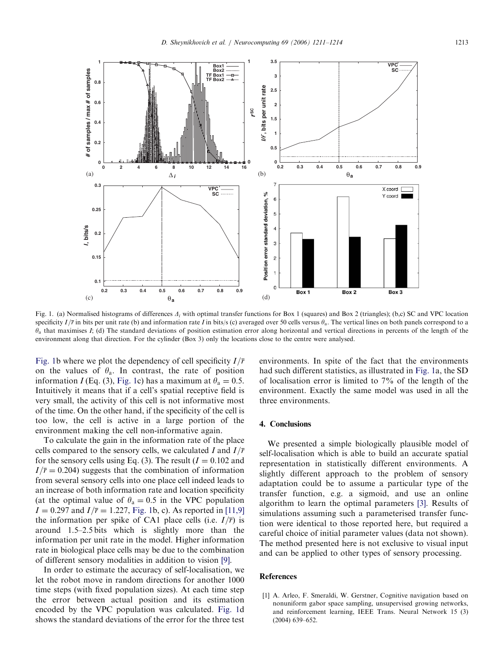<span id="page-2-0"></span>

Fig. 1. (a) Normalised histograms of differences  $\Delta_i$  with optimal transfer functions for Box 1 (squares) and Box 2 (triangles); (b,c) SC and VPC location specificity  $I/\bar{r}$  in bits per unit rate (b) and information rate I in bits/s (c) averaged over 50 cells versus  $\theta_a$ . The vertical lines on both panels correspond to a  $\theta_a$  that maximises I; (d) The standard deviations of position estimation error along horizontal and vertical directions in percents of the length of the environment along that direction. For the cylinder (Box 3) only the locations close to the centre were analysed.

Fig. 1b where we plot the dependency of cell specificity  $I/\overline{r}$ on the values of  $\theta_a$ . In contrast, the rate of position information I (Eq. (3), Fig. 1c) has a maximum at  $\theta_a = 0.5$ . Intuitively it means that if a cell's spatial receptive field is very small, the activity of this cell is not informative most of the time. On the other hand, if the specificity of the cell is too low, the cell is active in a large portion of the environment making the cell non-informative again.

To calculate the gain in the information rate of the place cells compared to the sensory cells, we calculated I and  $I/\overline{r}$ for the sensory cells using Eq. (3). The result  $(I = 0.102$  and  $I/\overline{r}$  = 0.204) suggests that the combination of information from several sensory cells into one place cell indeed leads to an increase of both information rate and location specificity (at the optimal value of  $\theta_a = 0.5$  in the VPC population  $I = 0.297$  and  $I/\bar{r} = 1.227$ , Fig. 1b, c). As reported in [\[11,9\]](#page-3-0) the information per spike of CA1 place cells (i.e.  $I/\overline{r}$ ) is around 1.5–2.5 bits which is slightly more than the information per unit rate in the model. Higher information rate in biological place cells may be due to the combination of different sensory modalities in addition to vision [\[9\]](#page-3-0).

In order to estimate the accuracy of self-localisation, we let the robot move in random directions for another 1000 time steps (with fixed population sizes). At each time step the error between actual position and its estimation encoded by the VPC population was calculated. Fig. 1d shows the standard deviations of the error for the three test environments. In spite of the fact that the environments had such different statistics, as illustrated in Fig. 1a, the SD of localisation error is limited to 7% of the length of the environment. Exactly the same model was used in all the three environments.

## 4. Conclusions

We presented a simple biologically plausible model of self-localisation which is able to build an accurate spatial representation in statistically different environments. A slightly different approach to the problem of sensory adaptation could be to assume a particular type of the transfer function, e.g. a sigmoid, and use an online algorithm to learn the optimal parameters [\[3\].](#page-3-0) Results of simulations assuming such a parameterised transfer function were identical to those reported here, but required a careful choice of initial parameter values (data not shown). The method presented here is not exclusive to visual input and can be applied to other types of sensory processing.

### References

[1] A. Arleo, F. Smeraldi, W. Gerstner, Cognitive navigation based on nonuniform gabor space sampling, unsupervised growing networks, and reinforcement learning, IEEE Trans. Neural Network 15 (3) (2004) 639–652.